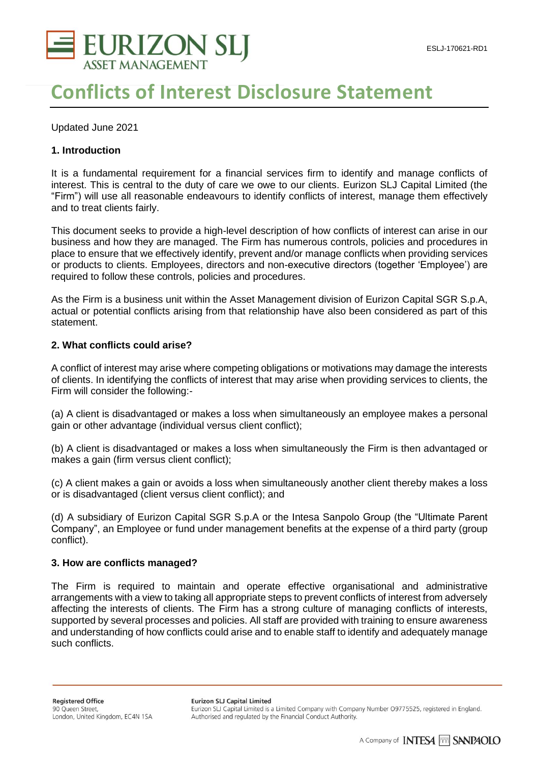

# **Conflicts of Interest Disclosure Statement**

Updated June 2021

## **1. Introduction**

It is a fundamental requirement for a financial services firm to identify and manage conflicts of interest. This is central to the duty of care we owe to our clients. Eurizon SLJ Capital Limited (the "Firm") will use all reasonable endeavours to identify conflicts of interest, manage them effectively and to treat clients fairly.

This document seeks to provide a high-level description of how conflicts of interest can arise in our business and how they are managed. The Firm has numerous controls, policies and procedures in place to ensure that we effectively identify, prevent and/or manage conflicts when providing services or products to clients. Employees, directors and non-executive directors (together 'Employee') are required to follow these controls, policies and procedures.

As the Firm is a business unit within the Asset Management division of Eurizon Capital SGR S.p.A, actual or potential conflicts arising from that relationship have also been considered as part of this statement.

### **2. What conflicts could arise?**

A conflict of interest may arise where competing obligations or motivations may damage the interests of clients. In identifying the conflicts of interest that may arise when providing services to clients, the Firm will consider the following:-

(a) A client is disadvantaged or makes a loss when simultaneously an employee makes a personal gain or other advantage (individual versus client conflict);

(b) A client is disadvantaged or makes a loss when simultaneously the Firm is then advantaged or makes a gain (firm versus client conflict);

(c) A client makes a gain or avoids a loss when simultaneously another client thereby makes a loss or is disadvantaged (client versus client conflict); and

(d) A subsidiary of Eurizon Capital SGR S.p.A or the Intesa Sanpolo Group (the "Ultimate Parent Company", an Employee or fund under management benefits at the expense of a third party (group conflict).

### **3. How are conflicts managed?**

The Firm is required to maintain and operate effective organisational and administrative arrangements with a view to taking all appropriate steps to prevent conflicts of interest from adversely affecting the interests of clients. The Firm has a strong culture of managing conflicts of interests, supported by several processes and policies. All staff are provided with training to ensure awareness and understanding of how conflicts could arise and to enable staff to identify and adequately manage such conflicts.

Eurizon SLJ Capital Limited is a Limited Company with Company Number O9775525, registered in England. Authorised and regulated by the Financial Conduct Authority.